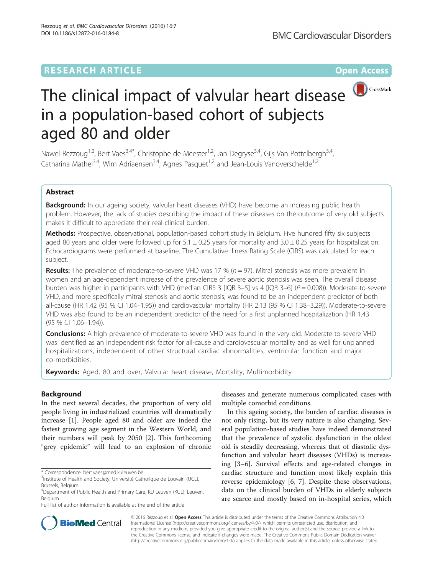# **RESEARCH ARTICLE Example 2014 12:30 The Contract of Contract ACCESS**



# The clinical impact of valvular heart disease in a population-based cohort of subjects aged 80 and older

Nawel Rezzoug<sup>1,2</sup>, Bert Vaes<sup>3,4\*</sup>, Christophe de Meester<sup>1,2</sup>, Jan Degryse<sup>3,4</sup>, Gijs Van Pottelbergh<sup>3,4</sup>, Catharina Mathei<sup>3,4</sup>, Wim Adriaensen<sup>3,4</sup>, Agnes Pasquet<sup>1,2</sup> and Jean-Louis Vanoverschelde<sup>1,2</sup>

# Abstract

**Background:** In our ageing society, valvular heart diseases (VHD) have become an increasing public health problem. However, the lack of studies describing the impact of these diseases on the outcome of very old subjects makes it difficult to appreciate their real clinical burden.

Methods: Prospective, observational, population-based cohort study in Belgium. Five hundred fifty six subjects aged 80 years and older were followed up for  $5.1 \pm 0.25$  years for mortality and  $3.0 \pm 0.25$  years for hospitalization. Echocardiograms were performed at baseline. The Cumulative Illness Rating Scale (CIRS) was calculated for each subject.

**Results:** The prevalence of moderate-to-severe VHD was 17 % ( $n = 97$ ). Mitral stenosis was more prevalent in women and an age-dependent increase of the prevalence of severe aortic stenosis was seen. The overall disease burden was higher in participants with VHD (median CIRS 3 [IQR 3-5] vs 4 [IQR 3-6] ( $P = 0.008$ )). Moderate-to-severe VHD, and more specifically mitral stenosis and aortic stenosis, was found to be an independent predictor of both all-cause (HR 1.42 (95 % CI 1.04–1.95)) and cardiovascular mortality (HR 2.13 (95 % CI 1.38–3.29)). Moderate-to-severe VHD was also found to be an independent predictor of the need for a first unplanned hospitalization (HR 1.43 (95 % CI 1.06–1.94)).

**Conclusions:** A high prevalence of moderate-to-severe VHD was found in the very old. Moderate-to-severe VHD was identified as an independent risk factor for all-cause and cardiovascular mortality and as well for unplanned hospitalizations, independent of other structural cardiac abnormalities, ventricular function and major co-morbidities.

Keywords: Aged, 80 and over, Valvular heart disease, Mortality, Multimorbidity

## Background

In the next several decades, the proportion of very old people living in industrialized countries will dramatically increase [[1\]](#page-8-0). People aged 80 and older are indeed the fastest growing age segment in the Western World, and their numbers will peak by 2050 [\[2](#page-8-0)]. This forthcoming "grey epidemic" will lead to an explosion of chronic

Full list of author information is available at the end of the article

diseases and generate numerous complicated cases with multiple comorbid conditions.

In this ageing society, the burden of cardiac diseases is not only rising, but its very nature is also changing. Several population-based studies have indeed demonstrated that the prevalence of systolic dysfunction in the oldest old is steadily decreasing, whereas that of diastolic dysfunction and valvular heart diseases (VHDs) is increasing [[3](#page-8-0)–[6\]](#page-8-0). Survival effects and age-related changes in cardiac structure and function most likely explain this reverse epidemiology [\[6](#page-8-0), [7\]](#page-8-0). Despite these observations, data on the clinical burden of VHDs in elderly subjects are scarce and mostly based on in-hospital series, which



© 2016 Rezzoug et al. Open Access This article is distributed under the terms of the Creative Commons Attribution 4.0 International License [\(http://creativecommons.org/licenses/by/4.0/](http://creativecommons.org/licenses/by/4.0/)), which permits unrestricted use, distribution, and reproduction in any medium, provided you give appropriate credit to the original author(s) and the source, provide a link to the Creative Commons license, and indicate if changes were made. The Creative Commons Public Domain Dedication waiver [\(http://creativecommons.org/publicdomain/zero/1.0/](http://creativecommons.org/publicdomain/zero/1.0/)) applies to the data made available in this article, unless otherwise stated.

<sup>\*</sup> Correspondence: [bert.vaes@med.kuleuven.be](mailto:bert.vaes@med.kuleuven.be) <sup>3</sup>

<sup>&</sup>lt;sup>3</sup>Institute of Health and Society, Université Catholique de Louvain (UCL), Brussels, Belgium

<sup>4</sup> Department of Public Health and Primary Care, KU Leuven (KUL), Leuven, Belgium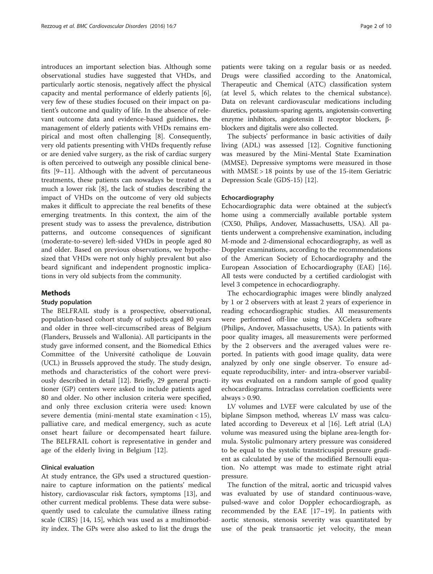introduces an important selection bias. Although some observational studies have suggested that VHDs, and particularly aortic stenosis, negatively affect the physical capacity and mental performance of elderly patients [\[6](#page-8-0)], very few of these studies focused on their impact on patient's outcome and quality of life. In the absence of relevant outcome data and evidence-based guidelines, the management of elderly patients with VHDs remains empirical and most often challenging [[8](#page-8-0)]. Consequently, very old patients presenting with VHDs frequently refuse or are denied valve surgery, as the risk of cardiac surgery is often perceived to outweigh any possible clinical benefits [\[9](#page-8-0)–[11\]](#page-8-0). Although with the advent of percutaneous treatments, these patients can nowadays be treated at a much a lower risk [\[8](#page-8-0)], the lack of studies describing the impact of VHDs on the outcome of very old subjects makes it difficult to appreciate the real benefits of these emerging treatments. In this context, the aim of the present study was to assess the prevalence, distribution patterns, and outcome consequences of significant (moderate-to-severe) left-sided VHDs in people aged 80 and older. Based on previous observations, we hypothesized that VHDs were not only highly prevalent but also beard significant and independent prognostic implications in very old subjects from the community.

#### Methods

## Study population

The BELFRAIL study is a prospective, observational, population-based cohort study of subjects aged 80 years and older in three well-circumscribed areas of Belgium (Flanders, Brussels and Wallonia). All participants in the study gave informed consent, and the Biomedical Ethics Committee of the Université catholique de Louvain (UCL) in Brussels approved the study. The study design, methods and characteristics of the cohort were previously described in detail [\[12](#page-8-0)]. Briefly, 29 general practitioner (GP) centers were asked to include patients aged 80 and older. No other inclusion criteria were specified, and only three exclusion criteria were used: known severe dementia (mini-mental state examination < 15), palliative care, and medical emergency, such as acute onset heart failure or decompensated heart failure. The BELFRAIL cohort is representative in gender and age of the elderly living in Belgium [\[12](#page-8-0)].

## Clinical evaluation

At study entrance, the GPs used a structured questionnaire to capture information on the patients' medical history, cardiovascular risk factors, symptoms [\[13\]](#page-8-0), and other current medical problems. These data were subsequently used to calculate the cumulative illness rating scale (CIRS) [[14](#page-8-0), [15\]](#page-8-0), which was used as a multimorbidity index. The GPs were also asked to list the drugs the patients were taking on a regular basis or as needed. Drugs were classified according to the Anatomical, Therapeutic and Chemical (ATC) classification system (at level 5, which relates to the chemical substance). Data on relevant cardiovascular medications including diuretics, potassium-sparing agents, angiotensin-converting enzyme inhibitors, angiotensin II receptor blockers, βblockers and digitalis were also collected.

The subjects' performance in basic activities of daily living (ADL) was assessed [[12](#page-8-0)]. Cognitive functioning was measured by the Mini-Mental State Examination (MMSE). Depressive symptoms were measured in those with MMSE > 18 points by use of the 15-item Geriatric Depression Scale (GDS-15) [[12](#page-8-0)].

#### Echocardiography

Echocardiographic data were obtained at the subject's home using a commercially available portable system (CX50, Philips, Andover, Massachusetts, USA). All patients underwent a comprehensive examination, including M-mode and 2-dimensional echocardiography, as well as Doppler examinations, according to the recommendations of the American Society of Echocardiography and the European Association of Echocardiography (EAE) [[16](#page-8-0)]. All tests were conducted by a certified cardiologist with level 3 competence in echocardiography.

The echocardiographic images were blindly analyzed by 1 or 2 observers with at least 2 years of experience in reading echocardiographic studies. All measurements were performed off-line using the XCelera software (Philips, Andover, Massachusetts, USA). In patients with poor quality images, all measurements were performed by the 2 observers and the averaged values were reported. In patients with good image quality, data were analyzed by only one single observer. To ensure adequate reproducibility, inter- and intra-observer variability was evaluated on a random sample of good quality echocardiograms. Intraclass correlation coefficients were always > 0.90.

LV volumes and LVEF were calculated by use of the biplane Simpson method, whereas LV mass was calculated according to Devereux et al [[16\]](#page-8-0). Left atrial (LA) volume was measured using the biplane area-length formula. Systolic pulmonary artery pressure was considered to be equal to the systolic transtricuspid pressure gradient as calculated by use of the modified Bernoulli equation. No attempt was made to estimate right atrial pressure.

The function of the mitral, aortic and tricuspid valves was evaluated by use of standard continuous-wave, pulsed-wave and color Doppler echocardiograph, as recommended by the EAE [[17](#page-8-0)–[19\]](#page-8-0). In patients with aortic stenosis, stenosis severity was quantitated by use of the peak transaortic jet velocity, the mean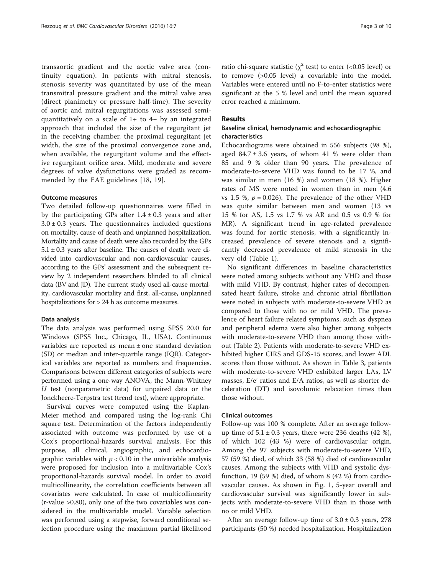transaortic gradient and the aortic valve area (continuity equation). In patients with mitral stenosis, stenosis severity was quantitated by use of the mean transmitral pressure gradient and the mitral valve area (direct planimetry or pressure half-time). The severity of aortic and mitral regurgitations was assessed semiquantitatively on a scale of  $1+$  to  $4+$  by an integrated approach that included the size of the regurgitant jet in the receiving chamber, the proximal regurgitant jet width, the size of the proximal convergence zone and, when available, the regurgitant volume and the effective regurgitant orifice area. Mild, moderate and severe degrees of valve dysfunctions were graded as recommended by the EAE guidelines [[18, 19](#page-8-0)].

#### Outcome measures

Two detailed follow-up questionnaires were filled in by the participating GPs after  $1.4 \pm 0.3$  years and after  $3.0 \pm 0.3$  years. The questionnaires included questions on mortality, cause of death and unplanned hospitalization. Mortality and cause of death were also recorded by the GPs  $5.1 \pm 0.3$  years after baseline. The causes of death were divided into cardiovascular and non-cardiovascular causes, according to the GPs' assessment and the subsequent review by 2 independent researchers blinded to all clinical data (BV and JD). The current study used all-cause mortality, cardiovascular mortality and first, all-cause, unplanned hospitalizations for > 24 h as outcome measures.

#### Data analysis

The data analysis was performed using SPSS 20.0 for Windows (SPSS Inc., Chicago, IL, USA). Continuous variables are reported as mean ± one standard deviation (SD) or median and inter-quartile range (IQR). Categorical variables are reported as numbers and frequencies. Comparisons between different categories of subjects were performed using a one-way ANOVA, the Mann-Whitney  $U$  test (nonparametric data) for unpaired data or the Jonckheere-Terpstra test (trend test), where appropriate.

Survival curves were computed using the Kaplan-Meier method and compared using the log-rank Chi square test. Determination of the factors independently associated with outcome was performed by use of a Cox's proportional-hazards survival analysis. For this purpose, all clinical, angiographic, and echocardiographic variables with  $p < 0.10$  in the univariable analysis were proposed for inclusion into a multivariable Cox's proportional-hazards survival model. In order to avoid multicollinearity, the correlation coefficients between all covariates were calculated. In case of multicollinearity (r-value >0.80), only one of the two covariables was considered in the multivariable model. Variable selection was performed using a stepwise, forward conditional selection procedure using the maximum partial likelihood ratio chi-square statistic ( $\chi^2$  test) to enter (<0.05 level) or to remove (>0.05 level) a covariable into the model. Variables were entered until no F-to-enter statistics were significant at the 5 % level and until the mean squared error reached a minimum.

## Results

## Baseline clinical, hemodynamic and echocardiographic characteristics

Echocardiograms were obtained in 556 subjects (98 %), aged  $84.7 \pm 3.6$  years, of whom 41 % were older than 85 and 9 % older than 90 years. The prevalence of moderate-to-severe VHD was found to be 17 %, and was similar in men (16 %) and women (18 %). Higher rates of MS were noted in women than in men (4.6 vs 1.5 %,  $p = 0.026$ ). The prevalence of the other VHD was quite similar between men and women (13 vs 15 % for AS, 1.5 vs 1.7 % vs AR and 0.5 vs 0.9 % for MR). A significant trend in age-related prevalence was found for aortic stenosis, with a significantly increased prevalence of severe stenosis and a significantly decreased prevalence of mild stenosis in the very old (Table [1\)](#page-3-0).

No significant differences in baseline characteristics were noted among subjects without any VHD and those with mild VHD. By contrast, higher rates of decompensated heart failure, stroke and chronic atrial fibrillation were noted in subjects with moderate-to-severe VHD as compared to those with no or mild VHD. The prevalence of heart failure related symptoms, such as dyspnea and peripheral edema were also higher among subjects with moderate-to-severe VHD than among those without (Table [2\)](#page-4-0). Patients with moderate-to-severe VHD exhibited higher CIRS and GDS-15 scores, and lower ADL scores than those without. As shown in Table [3](#page-5-0), patients with moderate-to-severe VHD exhibited larger LAs, LV masses, E/e' ratios and E/A ratios, as well as shorter deceleration (DT) and isovolumic relaxation times than those without.

#### Clinical outcomes

Follow-up was 100 % complete. After an average followup time of  $5.1 \pm 0.3$  years, there were 236 deaths (42 %), of which 102 (43 %) were of cardiovascular origin. Among the 97 subjects with moderate-to-severe VHD, 57 (59 %) died, of which 33 (58 %) died of cardiovascular causes. Among the subjects with VHD and systolic dysfunction, 19 (59 %) died, of whom 8 (42 %) from cardiovascular causes. As shown in Fig. [1](#page-6-0), 5-year overall and cardiovascular survival was significantly lower in subjects with moderate-to-severe VHD than in those with no or mild VHD.

After an average follow-up time of  $3.0 \pm 0.3$  years, 278 participants (50 %) needed hospitalization. Hospitalization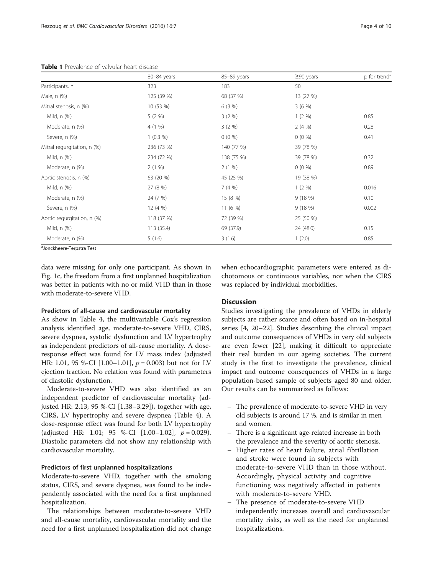<span id="page-3-0"></span>Table 1 Prevalence of valvular heart disease

|                             | 80-84 years | 85-89 years | $\geq$ 90 years | p for trend <sup>a</sup> |
|-----------------------------|-------------|-------------|-----------------|--------------------------|
| Participants, n             | 323         | 183         | 50              |                          |
| Male, n (%)                 | 125 (39 %)  | 68 (37 %)   | 13 (27 %)       |                          |
| Mitral stenosis, n (%)      | 10 (53 %)   | 6(3%)       | 3(6%)           |                          |
| Mild, n (%)                 | $5(2\%)$    | 3(2%)       | 1(2%)           | 0.85                     |
| Moderate, n (%)             | 4(1%)       | 3(2%)       | 2(4%)           | 0.28                     |
| Severe, n (%)               | $1(0.3\%)$  | $0(0\%)$    | $0(0\%)$        | 0.41                     |
| Mitral regurgitation, n (%) | 236 (73 %)  | 140 (77 %)  | 39 (78 %)       |                          |
| Mild, n (%)                 | 234 (72 %)  | 138 (75 %)  | 39 (78 %)       | 0.32                     |
| Moderate, n (%)             | 2(1%)       | 2(1%)       | $0(0\%)$        | 0.89                     |
| Aortic stenosis, n (%)      | 63 (20 %)   | 45 (25 %)   | 19 (38 %)       |                          |
| Mild, n (%)                 | 27 (8 %)    | 7(4%)       | 1(2%)           | 0.016                    |
| Moderate, n (%)             | 24 (7 %)    | 15 (8 %)    | 9(18%)          | 0.10                     |
| Severe, n (%)               | 12(4%)      | 11(6%)      | 9(18%)          | 0.002                    |
| Aortic regurgitation, n (%) | 118 (37 %)  | 72 (39 %)   | 25 (50 %)       |                          |
| Mild, n (%)                 | 113 (35.4)  | 69 (37.9)   | 24 (48.0)       | 0.15                     |
| Moderate, n (%)             | 5(1.6)      | 3(1.6)      | 1(2.0)          | 0.85                     |

<sup>a</sup>Jonckheere-Terpstra Test

data were missing for only one participant. As shown in Fig. [1c,](#page-6-0) the freedom from a first unplanned hospitalization was better in patients with no or mild VHD than in those with moderate-to-severe VHD.

## Predictors of all-cause and cardiovascular mortality

As show in Table [4](#page-7-0), the multivariable Cox's regression analysis identified age, moderate-to-severe VHD, CIRS, severe dyspnea, systolic dysfunction and LV hypertrophy as independent predictors of all-cause mortality. A doseresponse effect was found for LV mass index (adjusted HR: 1.01, 95 %-CI [1.00–1.01],  $p = 0.003$ ) but not for LV ejection fraction. No relation was found with parameters of diastolic dysfunction.

Moderate-to-severe VHD was also identified as an independent predictor of cardiovascular mortality (adjusted HR: 2.13; 95 %-CI [1.38–3.29]), together with age, CIRS, LV hypertrophy and severe dyspnea (Table [4](#page-7-0)). A dose-response effect was found for both LV hypertrophy (adjusted HR: 1.01; 95 %-CI  $[1.00-1.02]$ ,  $p = 0.029$ ). Diastolic parameters did not show any relationship with cardiovascular mortality.

## Predictors of first unplanned hospitalizations

Moderate-to-severe VHD, together with the smoking status, CIRS, and severe dyspnea, was found to be independently associated with the need for a first unplanned hospitalization.

The relationships between moderate-to-severe VHD and all-cause mortality, cardiovascular mortality and the need for a first unplanned hospitalization did not change when echocardiographic parameters were entered as dichotomous or continuous variables, nor when the CIRS was replaced by individual morbidities.

#### **Discussion**

Studies investigating the prevalence of VHDs in elderly subjects are rather scarce and often based on in-hospital series [[4, 20](#page-8-0)–[22](#page-8-0)]. Studies describing the clinical impact and outcome consequences of VHDs in very old subjects are even fewer [\[22\]](#page-8-0), making it difficult to appreciate their real burden in our ageing societies. The current study is the first to investigate the prevalence, clinical impact and outcome consequences of VHDs in a large population-based sample of subjects aged 80 and older. Our results can be summarized as follows:

- The prevalence of moderate-to-severe VHD in very old subjects is around 17 %, and is similar in men and women.
- There is a significant age-related increase in both the prevalence and the severity of aortic stenosis.
- Higher rates of heart failure, atrial fibrillation and stroke were found in subjects with moderate-to-severe VHD than in those without. Accordingly, physical activity and cognitive functioning was negatively affected in patients with moderate-to-severe VHD.
- The presence of moderate-to-severe VHD independently increases overall and cardiovascular mortality risks, as well as the need for unplanned hospitalizations.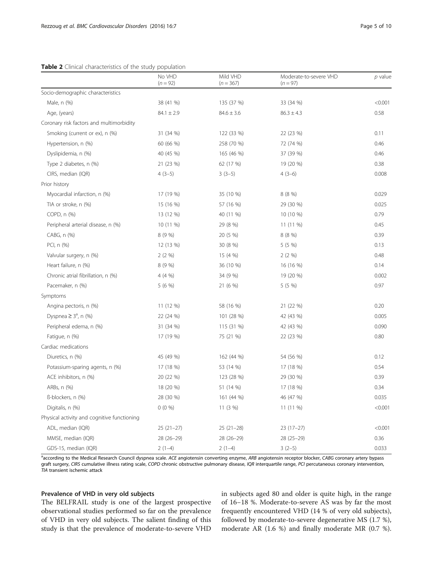#### <span id="page-4-0"></span>Table 2 Clinical characteristics of the study population

|                                             | No VHD<br>$(n = 92)$ | Mild VHD<br>$(n = 367)$ | Moderate-to-severe VHD<br>$(n = 97)$ | $p$ value |
|---------------------------------------------|----------------------|-------------------------|--------------------------------------|-----------|
| Socio-demographic characteristics           |                      |                         |                                      |           |
| Male, n (%)                                 | 38 (41 %)            | 135 (37 %)              | 33 (34 %)                            | < 0.001   |
| Age, (years)                                | $84.1 \pm 2.9$       | $84.6 \pm 3.6$          | $86.3 \pm 4.3$                       | 0.58      |
| Coronary risk factors and multimorbidity    |                      |                         |                                      |           |
| Smoking (current or ex), n (%)              | 31 (34 %)            | 122 (33 %)              | 22 (23 %)                            | 0.11      |
| Hypertension, n (%)                         | 60 (66 %)            | 258 (70 %)              | 72 (74 %)                            | 0.46      |
| Dyslipidemia, n (%)                         | 40 (45 %)            | 165 (46 %)              | 37 (39 %)                            | 0.46      |
| Type 2 diabetes, n (%)                      | 21 (23 %)            | 62 (17 %)               | 19 (20 %)                            | 0.38      |
| CIRS, median (IQR)                          | $4(3-5)$             | $3(3-5)$                | $4(3-6)$                             | 0.008     |
| Prior history                               |                      |                         |                                      |           |
| Myocardial infarction, n (%)                | 17 (19 %)            | 35 (10 %)               | 8 (8 %)                              | 0.029     |
| TIA or stroke, n (%)                        | 15 (16 %)            | 57 (16 %)               | 29 (30 %)                            | 0.025     |
| COPD, n (%)                                 | 13 (12 %)            | 40 (11 %)               | 10 (10 %)                            | 0.79      |
| Peripheral arterial disease, n (%)          | 10 (11 %)            | 29 (8 %)                | 11(11%)                              | 0.45      |
| CABG, n (%)                                 | 8(9%                 | 20 (5 %)                | 8 (8 %)                              | 0.39      |
| PCI, n (%)                                  | 12 (13 %)            | 30 (8 %)                | 5 (5 %)                              | 0.13      |
| Valvular surgery, n (%)                     | 2(2%)                | 15 (4 %)                | 2(2%)                                | 0.48      |
| Heart failure, n (%)                        | 8 (9 %)              | 36 (10 %)               | 16 (16 %)                            | 0.14      |
| Chronic atrial fibrillation, n (%)          | 4 (4 %)              | 34 (9 %)                | 19 (20 %)                            | 0.002     |
| Pacemaker, n (%)                            | 5(6%)                | 21 (6 %)                | 5 (5 %)                              | 0.97      |
| Symptoms                                    |                      |                         |                                      |           |
| Angina pectoris, n (%)                      | 11 (12 %)            | 58 (16 %)               | 21 (22 %)                            | 0.20      |
| Dyspnea $\geq 3^a$ , n (%)                  | 22 (24 %)            | 101 (28 %)              | 42 (43 %)                            | 0.005     |
| Peripheral edema, n (%)                     | 31 (34 %)            | 115 (31 %)              | 42 (43 %)                            | 0.090     |
| Fatigue, n (%)                              | 17 (19 %)            | 75 (21 %)               | 22 (23 %)                            | 0.80      |
| Cardiac medications                         |                      |                         |                                      |           |
| Diuretics, n (%)                            | 45 (49 %)            | 162 (44 %)              | 54 (56 %)                            | 0.12      |
| Potassium-sparing agents, n (%)             | 17 (18 %)            | 53 (14 %)               | 17 (18 %)                            | 0.54      |
| ACE inhibitors, n (%)                       | 20 (22 %)            | 123 (28 %)              | 29 (30 %)                            | 0.39      |
| ARBs, n (%)                                 | 18 (20 %)            | 51 (14 %)               | 17 (18 %)                            | 0.34      |
| ß-blockers, n (%)                           | 28 (30 %)            | 161 (44 %)              | 46 (47 %)                            | 0.035     |
| Digitalis, n (%)                            | $0(0\%)$             | 11 (3 %)                | 11 (11 %)                            | < 0.001   |
| Physical activity and cognitive functioning |                      |                         |                                      |           |
| ADL, median (IQR)                           | $25(21-27)$          | $25(21-28)$             | 23 (17-27)                           | < 0.001   |
| MMSE, median (IQR)                          | $28(26-29)$          | 28 (26-29)              | $28(25-29)$                          | 0.36      |
| GDS-15, median (IQR)                        | $2(1-4)$             | $2(1-4)$                | $3(2-5)$                             | 0.033     |

<sup>a</sup>according to the Medical Research Council dyspnea scale. ACE angiotensin converting enzyme, ARB angiotensin receptor blocker, CABG coronary artery bypass graft surgery, CIRS cumulative illness rating scale, COPD chronic obstructive pulmonary disease, IQR interquartile range, PCI percutaneous coronary intervention, TIA transient ischemic attack

## Prevalence of VHD in very old subjects

The BELFRAIL study is one of the largest prospective observational studies performed so far on the prevalence of VHD in very old subjects. The salient finding of this study is that the prevalence of moderate-to-severe VHD

in subjects aged 80 and older is quite high, in the range of 16−18 %. Moderate-to-severe AS was by far the most frequently encountered VHD (14 % of very old subjects), followed by moderate-to-severe degenerative MS (1.7 %), moderate AR (1.6 %) and finally moderate MR (0.7 %).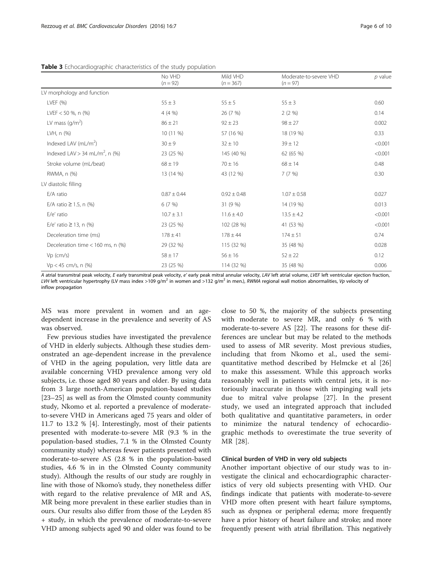<span id="page-5-0"></span>

|                                            | No VHD<br>$(n = 92)$ | Mild VHD<br>$(n = 367)$ | Moderate-to-severe VHD<br>$(n = 97)$ | p value |
|--------------------------------------------|----------------------|-------------------------|--------------------------------------|---------|
| LV morphology and function                 |                      |                         |                                      |         |
| LVEF (%)                                   | $55 \pm 3$           | $55 \pm 5$              | $55 \pm 3$                           | 0.60    |
| LVEF $<$ 50 %, n (%)                       | $4(4\% )$            | 26 (7 %)                | $2(2\%)$                             | 0.14    |
| LV mass $\frac{q}{m^2}$                    | $86 \pm 21$          | $92 \pm 23$             | $98 \pm 27$                          | 0.002   |
| LVH, n (%)                                 | $10(11\%)$           | 57 (16 %)               | 18 (19 %)                            | 0.33    |
| Indexed LAV $(mL/m2)$                      | $30 \pm 9$           | $32 \pm 10$             | $39 \pm 12$                          | < 0.001 |
| Indexed LAV > 34 mL/m <sup>2</sup> , n (%) | 23 (25 %)            | 145 (40 %)              | 62 (65 %)                            | < 0.001 |
| Stroke volume (mL/beat)                    | $68 \pm 19$          | $70 \pm 16$             | $68 \pm 14$                          | 0.48    |
| RWMA, n (%)                                | 13 (14 %)            | 43 (12 %)               | 7(7%)                                | 0.30    |
| LV diastolic filling                       |                      |                         |                                      |         |
| E/A ratio                                  | $0.87 \pm 0.44$      | $0.92 \pm 0.48$         | $1.07 \pm 0.58$                      | 0.027   |
| E/A ratio $\geq$ 1.5, n (%)                | 6(7%)                | 31 (9 %)                | 14 (19 %)                            | 0.013   |
| E/e' ratio                                 | $10.7 \pm 3.1$       | $11.6 \pm 4.0$          | $13.5 \pm 4.2$                       | < 0.001 |
| E/e' ratio $\geq$ 13, n (%)                | 23 (25 %)            | 102 (28 %)              | 41 (53 %)                            | < 0.001 |
| Deceleration time (ms)                     | $178 \pm 41$         | $178 \pm 44$            | $174 \pm 51$                         | 0.74    |
| Deceleration time $<$ 160 ms, n (%)        | 29 (32 %)            | 115 (32 %)              | 35 (48 %)                            | 0.028   |
| $Vp$ (cm/s)                                | $58 \pm 17$          | $56 \pm 16$             | $52 \pm 22$                          | 0.12    |
| $Vp < 45$ cm/s, n $(\%)$                   | 23 (25 %)            | 114 (32 %)              | 35 (48 %)                            | 0.006   |

A atrial transmitral peak velocity, E early transmitral peak velocity, e' early peak mitral annular velocity, LAV left atrial volume, LVEF left ventricular ejection fraction, LVH left ventricular hypertrophy (LV mass index >109 g/m<sup>2</sup> in women and >132 g/m<sup>2</sup> in men.), RWMA regional wall motion abnormalities, Vp velocity of inflow propagation

MS was more prevalent in women and an agedependent increase in the prevalence and severity of AS was observed.

Few previous studies have investigated the prevalence of VHD in elderly subjects. Although these studies demonstrated an age-dependent increase in the prevalence of VHD in the ageing population, very little data are available concerning VHD prevalence among very old subjects, i.e. those aged 80 years and older. By using data from 3 large north-American population-based studies [[23](#page-8-0)–[25](#page-8-0)] as well as from the Olmsted county community study, Nkomo et al. reported a prevalence of moderateto-severe VHD in Americans aged 75 years and older of 11.7 to 13.2 % [\[4\]](#page-8-0). Interestingly, most of their patients presented with moderate-to-severe MR (9.3 % in the population-based studies, 7.1 % in the Olmsted County community study) whereas fewer patients presented with moderate-to-severe AS (2.8 % in the population-based studies, 4.6 % in in the Olmsted County community study). Although the results of our study are roughly in line with those of Nkomo's study, they nonetheless differ with regard to the relative prevalence of MR and AS, MR being more prevalent in these earlier studies than in ours. Our results also differ from those of the Leyden 85 + study, in which the prevalence of moderate-to-severe VHD among subjects aged 90 and older was found to be

close to 50 %, the majority of the subjects presenting with moderate to severe MR, and only 6 % with moderate-to-severe AS [[22\]](#page-8-0). The reasons for these differences are unclear but may be related to the methods used to assess of MR severity. Most previous studies, including that from Nkomo et al., used the semiquantitative method described by Helmcke et al [\[26](#page-9-0)] to make this assessment. While this approach works reasonably well in patients with central jets, it is notoriously inaccurate in those with impinging wall jets due to mitral valve prolapse [[27\]](#page-9-0). In the present study, we used an integrated approach that included both qualitative and quantitative parameters, in order to minimize the natural tendency of echocardiographic methods to overestimate the true severity of MR [\[28](#page-9-0)].

## Clinical burden of VHD in very old subjects

Another important objective of our study was to investigate the clinical and echocardiographic characteristics of very old subjects presenting with VHD. Our findings indicate that patients with moderate-to-severe VHD more often present with heart failure symptoms, such as dyspnea or peripheral edema; more frequently have a prior history of heart failure and stroke; and more frequently present with atrial fibrillation. This negatively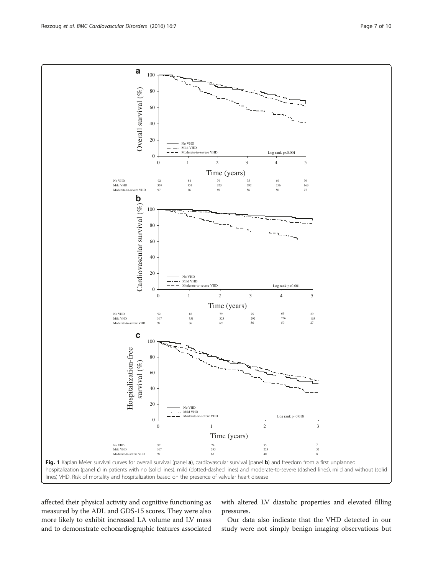<span id="page-6-0"></span>

affected their physical activity and cognitive functioning as measured by the ADL and GDS-15 scores. They were also more likely to exhibit increased LA volume and LV mass and to demonstrate echocardiographic features associated

with altered LV diastolic properties and elevated filling pressures.

Our data also indicate that the VHD detected in our study were not simply benign imaging observations but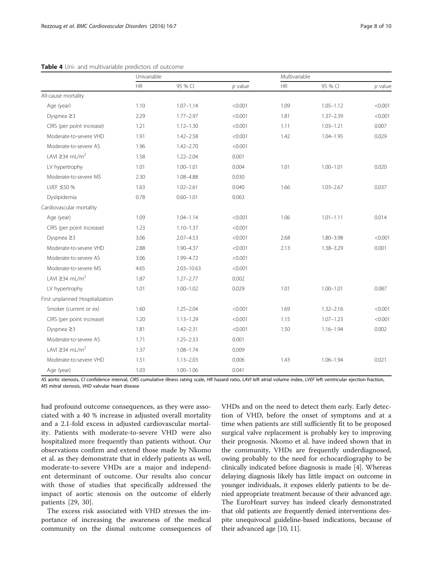|                                     | Univariable |                | Multivariable |               |               |           |
|-------------------------------------|-------------|----------------|---------------|---------------|---------------|-----------|
|                                     | HR          | 95 % CI        | $p$ value     | $\mathsf{HR}$ | 95 % CI       | $p$ value |
| All-cause mortality                 |             |                |               |               |               |           |
| Age (year)                          | 1.10        | $1.07 - 1.14$  | < 0.001       | 1.09          | $1.05 - 1.12$ | < 0.001   |
| Dyspnea $\geq$ 3                    | 2.29        | $1.77 - 2.97$  | < 0.001       | 1.81          | $1.37 - 2.39$ | < 0.001   |
| CIRS (per point increase)           | 1.21        | $1.12 - 1.30$  | < 0.001       | 1.11          | $1.03 - 1.21$ | 0.007     |
| Moderate-to-severe VHD              | 1.91        | $1.42 - 2.58$  | < 0.001       | 1.42          | $1.04 - 1.95$ | 0.029     |
| Moderate-to-severe AS               | 1.96        | $1.42 - 2.70$  | < 0.001       |               |               |           |
| $1$ AVI $\geq$ 34 mI/m <sup>2</sup> | 1.58        | $1.22 - 2.04$  | 0.001         |               |               |           |
| LV hypertrophy                      | 1.01        | $1.00 - 1.01$  | 0.004         | 1.01          | $1.00 - 1.01$ | 0.020     |
| Moderate-to-severe MS               | 2.30        | 1.08-4.88      | 0.030         |               |               |           |
| LVEF ≤50 %                          | 1.63        | $1.02 - 2.61$  | 0.040         | 1.66          | $1.03 - 2.67$ | 0.037     |
| Dyslipidemia                        | 0.78        | $0.60 - 1.01$  | 0.063         |               |               |           |
| Cardiovascular mortality            |             |                |               |               |               |           |
| Age (year)                          | 1.09        | $1.04 - 1.14$  | < 0.001       | 1.06          | $1.01 - 1.11$ | 0.014     |
| CIRS (per point increase)           | 1.23        | $1.10 - 1.37$  | < 0.001       |               |               |           |
| Dyspnea $\geq$ 3                    | 3.06        | $2.07 - 4.53$  | < 0.001       | 2.68          | $1.80 - 3.98$ | < 0.001   |
| Moderate-to-severe VHD              | 2.88        | 1.90-4.37      | < 0.001       | 2.13          | 1.38-3.29     | 0.001     |
| Moderate-to-severe AS               | 3.06        | 1.99-4.72      | < 0.001       |               |               |           |
| Moderate-to-severe MS               | 4.65        | $2.03 - 10.63$ | < 0.001       |               |               |           |
| LAVI $\geq$ 34 mL/m <sup>2</sup>    | 1.87        | $1.27 - 2.77$  | 0.002         |               |               |           |
| LV hypertrophy                      | 1.01        | $1.00 - 1.02$  | 0.029         | 1.01          | $1.00 - 1.01$ | 0.087     |
| First unplanned Hospitalization     |             |                |               |               |               |           |
| Smoker (current or ex)              | 1.60        | $1.25 - 2.04$  | < 0.001       | 1.69          | $1.32 - 2.16$ | < 0.001   |
| CIRS (per point increase)           | 1.20        | $1.13 - 1.29$  | < 0.001       | 1.15          | $1.07 - 1.23$ | < 0.001   |
| Dyspnea $\geq$ 3                    | 1.81        | $1.42 - 2.31$  | < 0.001       | 1.50          | $1.16 - 1.94$ | 0.002     |
| Moderate-to-severe AS               | 1.71        | $1.25 - 2.33$  | 0.001         |               |               |           |
| LAVI $\geq$ 34 mL/m <sup>2</sup>    | 1.37        | $1.08 - 1.74$  | 0.009         |               |               |           |
| Moderate-to-severe VHD              | 1.51        | $1.13 - 2.03$  | 0.006         | 1.43          | $1.06 - 1.94$ | 0.021     |
| Age (year)                          | 1.03        | $1.00 - 1.06$  | 0.041         |               |               |           |

<span id="page-7-0"></span>

AS aortic stenosis, CI confidence interval, CIRS cumulative illness rating scale, HR hazard ratio, LAVI left atrial volume index, LVEF left ventricular ejection fraction, MS mitral stenosis, VHD valvular heart disease

had profound outcome consequences, as they were associated with a 40 % increase in adjusted overall mortality and a 2.1-fold excess in adjusted cardiovascular mortality. Patients with moderate-to-severe VHD were also hospitalized more frequently than patients without. Our observations confirm and extend those made by Nkomo et al. as they demonstrate that in elderly patients as well, moderate-to-severe VHDs are a major and independent determinant of outcome. Our results also concur with those of studies that specifically addressed the impact of aortic stenosis on the outcome of elderly patients [[29, 30\]](#page-9-0).

The excess risk associated with VHD stresses the importance of increasing the awareness of the medical community on the dismal outcome consequences of

VHDs and on the need to detect them early. Early detection of VHD, before the onset of symptoms and at a time when patients are still sufficiently fit to be proposed surgical valve replacement is probably key to improving their prognosis. Nkomo et al. have indeed shown that in the community, VHDs are frequently underdiagnosed, owing probably to the need for echocardiography to be clinically indicated before diagnosis is made [[4\]](#page-8-0). Whereas delaying diagnosis likely has little impact on outcome in younger individuals, it exposes elderly patients to be denied appropriate treatment because of their advanced age. The EuroHeart survey has indeed clearly demonstrated that old patients are frequently denied interventions despite unequivocal guideline-based indications, because of their advanced age [[10](#page-8-0), [11\]](#page-8-0).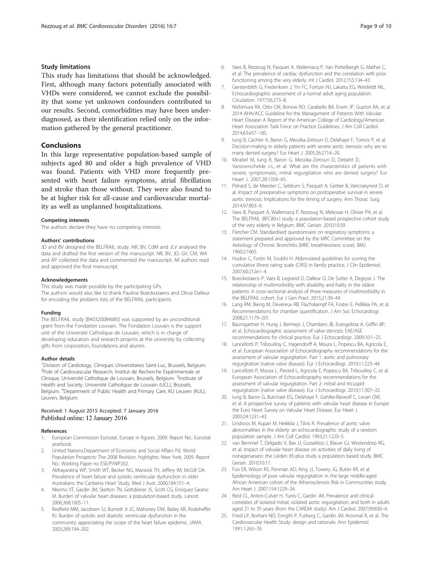#### <span id="page-8-0"></span>Study limitations

This study has limitations that should be acknowledged. First, although many factors potentially associated with VHDs were considered, we cannot exclude the possibility that some yet unknown confounders contributed to our results. Second, comorbidities may have been underdiagnosed, as their identification relied only on the information gathered by the general practitioner.

## Conclusions

In this large representative population-based sample of subjects aged 80 and older a high prevalence of VHD was found. Patients with VHD more frequently presented with heart failure symptoms, atrial fibrillation and stroke than those without. They were also found to be at higher risk for all-cause and cardiovascular mortality as well as unplanned hospitalizations.

#### Competing interests

The authors declare they have no competing interests.

#### Authors' contributions

JD and BV designed the BELFRAIL study. NR, BV, CdM and JLV analysed the data and drafted the first version of the manuscript. NR, BV, JD, GV, CM, WA and AP collected the data and commented the manuscript. All authors read and approved the final manuscript.

#### Acknowledgements

This study was made possible by the participating GPs. The authors would also like to thank Pauline Boeckxstaens and Olivia Dalleur

for encoding the problem lists of the BELFRAIL participants.

#### Funding

The BELFRAIL study [B40320084685] was supported by an unconditional grant from the Fondation Louvain. The Fondation Louvain is the support unit of the Université Catholique de Louvain, which is in charge of developing education and research projects at the university by collecting gifts from corporation, foundations and alumni.

#### Author details

<sup>1</sup> Division of Cardiology, Cliniques Universitaires Saint-Luc, Brussels, Belgium. 2 Pole of Cardiovascular Research, Institut de Recherche Expérimentale et Clinique, Université Catholique de Louvain, Brussels, Belgium. <sup>3</sup>Institute of Health and Society, Université Catholique de Louvain (UCL), Brussels, Belgium. <sup>4</sup>Department of Public Health and Primary Care, KU Leuven (KUL), Leuven, Belgium.

#### Received: 1 August 2015 Accepted: 7 January 2016 Published online: 12 January 2016

#### References

- 1. European Commission Eurostat. Europe in figures. 2009. Report No.: Eurostat yearbook.
- 2. United Nations.Department of Economic and Social Affairs Pd. World Population Prospects: The 2008 Revision, highlights. New York; 2009. Report No.: Working Paper no ESE/P/WP202.
- 3. Abhayaratna WP, Smith WT, Becker NG, Marwick TH, Jeffery IM, McGill DA. Prevalence of heart failure and systolic ventricular dysfunction in older Australians: the Canberra Heart Study. Med J Aust. 2006;184:151–4.
- 4. Nkomo VT, Gardin JM, Skelton TN, Gottdiener JS, Scott CG, Enriquez-Sarano M. Burden of valvular heart diseases: a population-based study. Lancet. 2006;368:1005–11.
- Redfield MM, Jacobsen SJ, Burnett Jr JC, Mahoney DW, Bailey KR, Rodeheffer RJ. Burden of systolic and diastolic ventricular dysfunction in the community: appreciating the scope of the heart failure epidemic. JAMA. 2003;289:194–202.
- 6. Vaes B, Rezzoug N, Pasquet A, Wallemacq P, Van Pottelbergh G, Mathei C, et al. The prevalence of cardiac dysfunction and the correlation with poor functioning among the very elderly. Int J Cardiol. 2012;155:134–43.
- 7. Gerstenblith G, Frederiksen J, Yin FC, Fortuin NJ, Lakatta EG, Weisfeldt ML. Echocardiographic assessment of a normal adult aging population. Circulation. 1977;56:273–8.
- 8. Nishimura RA, Otto CM, Bonow RO, Carabello BA, Erwin JP, Guyton RA, et al. 2014 AHA/ACC Guideline for the Management of Patients With Valvular Heart Disease: A Report of the American College of Cardiology/American Heart Association Task Force on Practice Guidelines. J Am Coll Cardiol. 2014;63:e57–185.
- 9. Iung B, Cachier A, Baron G, Messika-Zeitoun D, Delahaye F, Tornos P, et al. Decision-making in elderly patients with severe aortic stenosis: why are so many denied surgery? Eur Heart J. 2005;26:2714–20.
- 10. Mirabel M, Iung B, Baron G, Messika-Zeitoun D, Detaint D, Vanoverschelde J-L, et al. What are the characteristics of patients with severe, symptomatic, mitral regurgitation who are denied surgery? Eur Heart J. 2007;28:1358–65.
- 11. Piérard S, de Meester C, Seldrum S, Pasquet A, Gerber B, Vancraeynest D, et al. Impact of preoperative symptoms on postoperative survival in severe aortic stenosis: Implications for the timing of surgery. Ann Thorac Surg. 2014;97:803–9.
- 12. Vaes B, Pasquet A, Wallemacq P, Rezzoug N, Mekouar H, Olivier PA, et al. The BELFRAIL (BFC80+) study: a population-based prospective cohort study of the very elderly in Belgium. BMC Geriatr. 2010;10:39.
- 13. Fletcher CM. Standardised questionnaire on respiratory symptoms: a statement prepared and approved by the MRC Committee on the Aetiology of Chronic Bronchitis (MRC breathlessness score). BMJ. 1960;2:1665.
- 14. Hudon C, Fortin M, Soubhi H. Abbreviated guidelines for scoring the cumulative illness rating scale (CIRS) in family practice. J Clin Epidemiol. 2007;60:212e1–4.
- 15. Boeckxstaens P, Vaes B, Legrand D, Dalleur O, De Sutter A, Degryse J. The relationship of multimorbidity with disability and frailty in the oldest patients: A cross-sectional analysis of three measures of multimorbidity in the BELFRAIL cohort. Eur J Gen Pract. 2015;21:39–44.
- 16. Lang RM, Bierig M, Devereux RB, Flachskampf FA, Foster E, Pellikka PA, et al. Recommendations for chamber quantification. J Am Soc Echocardiogr. 2008;21:1179–201.
- 17. Baumgartner H, Hung J, Bermejo J, Chambers JB, Evangelista A, Griffin BP, et al. Echocardiographic assessment of valve stenosis: EAE/ASE recommendations for clinical practice. Eur J Echocardiogr. 2009;10:1–25.
- 18. Lancellotti P, Tribouilloy C, Hagendorff A, Moura L, Popescu BA, Agricola E, et al. European Association of Echocardiography recommendations for the assessment of valvular regurgitation. Part 1: aortic and pulmonary regurgitation (native valve disease). Eur J Echocardiogr. 2010;11:223–44.
- 19. Lancellotti P, Moura L, Pierard L, Agricola E, Popescu BA, Tribouilloy C, et al. European Association of Echocardiography recommendations for the assessment of valvular regurgitation. Part 2: mitral and tricuspid regurgitation (native valve disease). Eur J Echocardiogr. 2010;11:307–32.
- 20. Iung B, Baron G, Butchaet EG, Delahaye F, Gohlke-Bärwolf C, Levan OW, et al. A prospective survey of patients with valvular heart disease in Europe: the Euro Heart Survey on Valvular Heart Disease. Eur Heart J. 2003;24:1231–43.
- 21. Lindroos M, Kupari M, Heikkila J, Tilvis R. Prevalence of aortic valve abnormalities in the elderly: an echocardiographic study of a random population sample. J Am Coll Cardiol. 1993;21:1220–5.
- 22. van Bemmel T, Delgado V, Bax JJ, Gussekloo J, Blauw GJ, Westendorp RG, et al. Impact of valvular heart disease on activities of daily living of nonagenarians: the Leiden 85-plus study a population based study. BMC Geriatr. 2010;10:17.
- 23. Fox ER, Wilson RS, Penman AD, King JJ, Towery JG, Butler KR, et al. Epidemiology of pure valvular regurgitation in the large middle-aged African American cohort of the Atherosclerosis Risk in Communities study. Am Heart J. 2007;154:1229–34.
- 24. Reid CL, Anton-Culver H, Yunis C, Gardin JM. Prevalence and clinical correlates of isolated mitral, isolated aortic regurgitation, and both in adults aged 21 to 35 years (from the CARDIA study). Am J Cardiol. 2007;99:830–4.
- 25. Fried LP, Borhani NO, Enright P, Furberg C, Gardin JM, Kronmal R, et al. The Cardiovascular Health Study: design and rationale. Ann Epidemiol. 1991;1:263–76.